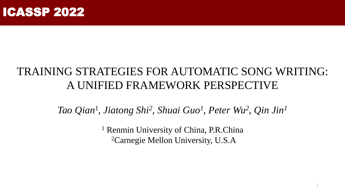

# TRAINING STRATEGIES FOR AUTOMATIC SONG WRITING: A UNIFIED FRAMEWORK PERSPECTIVE

*Tao Qian*<sup>1</sup> *, Jiatong Shi<sup>2</sup> , Shuai Guo<sup>1</sup> , Peter Wu<sup>2</sup> , Qin Jin<sup>1</sup>*

<sup>1</sup> Renmin University of China, P.R.China <sup>2</sup>Carnegie Mellon University, U.S.A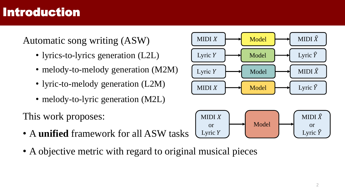# Introduction

#### Automatic song writing (ASW)

- lyrics-to-lyrics generation (L2L)
- melody-to-melody generation (M2M)
- lyric-to-melody generation (L2M)
- melody-to-lyric generation (M2L)

This work proposes:

- A **unified** framework for all ASW tasks
- A objective metric with regard to original musical pieces

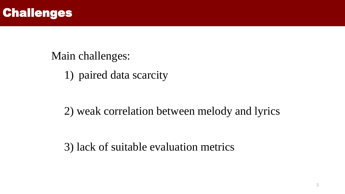

1) paired data scarcity

2) weak correlation between melody and lyrics

3) lack of suitable evaluation metrics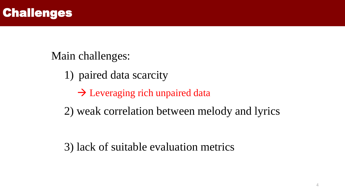

- 1) paired data scarcity
	- $\rightarrow$  Leveraging rich unpaired data
- 2) weak correlation between melody and lyrics

3) lack of suitable evaluation metrics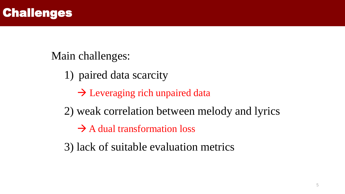

- 1) paired data scarcity
	- $\rightarrow$  Leveraging rich unpaired data
- 2) weak correlation between melody and lyrics
	- $\rightarrow$  A dual transformation loss
- 3) lack of suitable evaluation metrics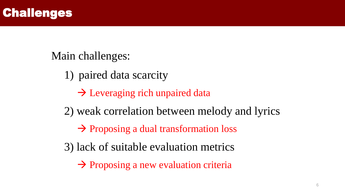

- 1) paired data scarcity
	- $\rightarrow$  Leveraging rich unpaired data
- 2) weak correlation between melody and lyrics
	- → Proposing a dual transformation loss
- 3) lack of suitable evaluation metrics
	- $\rightarrow$  Proposing a new evaluation criteria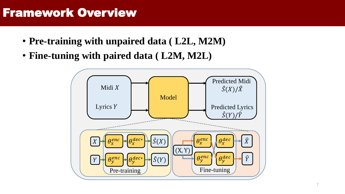## Framework Overview

- **Pre-training with unpaired data ( L2L, M2M)**
- **Fine-tuning with paired data ( L2M, M2L)**

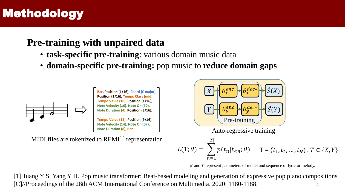# Methodology

#### **Pre-training with unpaired data**

- **task-specific pre-training**: various domain music data
- **domain-specific pre-training:** pop music to **reduce domain gaps**



MIDI files are tokenized to  $REMI<sup>[1]</sup>$  representation



 $\theta$  and  $T$  represent parameters of model and sequence of lyric or melody.

8 [1]Huang Y S, Yang Y H. Pop music transformer: Beat-based modeling and generation of expressive pop piano compositions [C]//Proceedings of the 28th ACM International Conference on Multimedia. 2020: 1180-1188.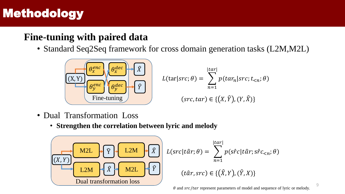# Methodology

#### **Fine-tuning with paired data**

• Standard Seq2Seq framework for cross domain generation tasks (L2M,M2L)



- Dual Transformation Loss
	- **Strengthen the correlation between lyric and melody**

$$
L(Src|târ; \theta) = \sum_{n=1}^{|tar|} p(s\hat{r}c|târ; s\hat{r}c_{  
\nL2M  
\nL2M  
\n*W2L*  
\n*W2L*  
\n*W2L*  
\n*W2L*  
\n*W2L*  
\n*W2L*  
\n*W2L*  
\n*W2L*  
\n*W2L*  
\n*W2L*  
\n*W2L*  
\n*W2L*  
\n*W2L*  
\n*W2L*  
\n*W2L*  
\n*W2L*  
\n*W2L*  
\n*W2L*  
\n*W2L*  
\n*W2L*  
\n*W2L*  
\n*W2L*  
\n*W2L*  
\n*W2L*  
\n*W2L*  
\n*W2L*  
\n*W2L*  
\n*W2L*  
\n*W2L*  
\n*W2L*  
\n*W2L*  
\n*W2L*  
\n*W2L*  
\n*W2L*  
\n*W2L*  
\n*W2L*  
\n*W2L*  
\n*W2L*  
\n*W2L*  
\n*W2L*  
\n*W2L*  
\n*W2L*  
\n*W2L*  
\n*W2L*  
\n*W2L*  
\n*W2L*  
\n*W2L*  
\n*W2L*  
\n*W2L*  
\n*W2L*  
\n*W2L*  
\n*W2L*  
\n*W2L*  
\n*W2L*  
\n*W2L*  
\n*W2L*  
\n*W2L*  
\n*W2L*  
\n*W2L*  
\n*W2L*  
\n*W2L*  
\n*W2L*  
\n*W2L*
$$

 $\theta$  and  $src/tar$  represent parameters of model and sequence of lyric or melody.

 $\overline{Q}$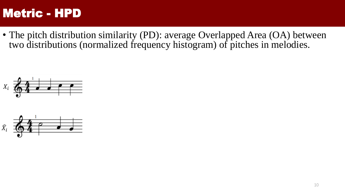• The pitch distribution similarity (PD): average Overlapped Area (OA) between two distributions (normalized frequency histogram) of pitches in melodies.



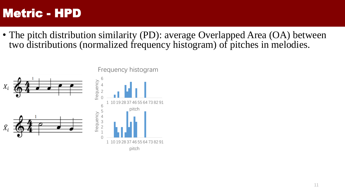• The pitch distribution similarity (PD): average Overlapped Area (OA) between two distributions (normalized frequency histogram) of pitches in melodies.

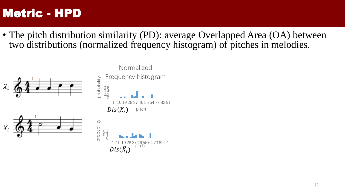• The pitch distribution similarity (PD): average Overlapped Area (OA) between two distributions (normalized frequency histogram) of pitches in melodies.

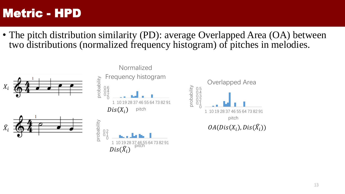• The pitch distribution similarity (PD): average Overlapped Area (OA) between two distributions (normalized frequency histogram) of pitches in melodies.

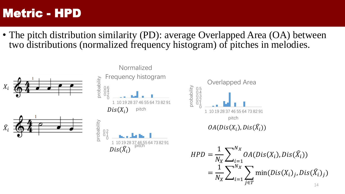• The pitch distribution similarity (PD): average Overlapped Area (OA) between two distributions (normalized frequency histogram) of pitches in melodies.

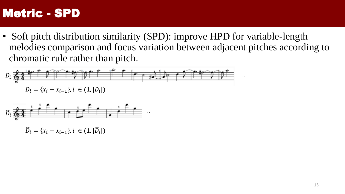• Soft pitch distribution similarity (SPD): improve HPD for variable-length melodies comparison and focus variation between adjacent pitches according to chromatic rule rather than pitch.





 $\widehat{D}_i = \{x_i - x_{i-1}\}, i \in (1, |\widehat{D}_i|)$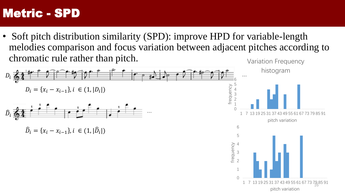• Soft pitch distribution similarity (SPD): improve HPD for variable-length melodies comparison and focus variation between adjacent pitches according to chromatic rule rather than pitch. Variation Frequency

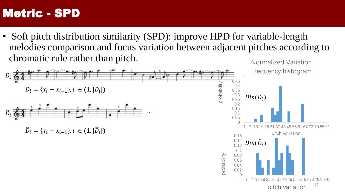• Soft pitch distribution similarity (SPD): improve HPD for variable-length melodies comparison and focus variation between adjacent pitches according to chromatic rule rather than pitch. Normalized Variation

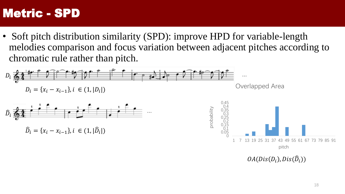• Soft pitch distribution similarity (SPD): improve HPD for variable-length melodies comparison and focus variation between adjacent pitches according to chromatic rule rather than pitch.



 $OA(Dis(D_i), Dis(\widehat{D}_i))$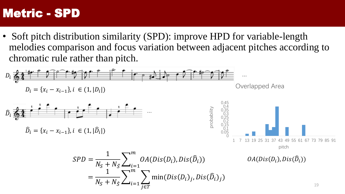• Soft pitch distribution similarity (SPD): improve HPD for variable-length melodies comparison and focus variation between adjacent pitches according to chromatic rule rather than pitch.

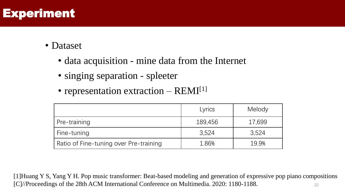# Experiment

- Dataset
	- data acquisition mine data from the Internet
	- singing separation spleeter
	- representation extraction  $-$  REMI<sup>[1]</sup>

|                                        | Lyrics  | Melody |
|----------------------------------------|---------|--------|
| Pre-training                           | 189,456 | 17,699 |
| Fine-tuning                            | 3.524   | 3,524  |
| Ratio of Fine-tuning over Pre-training | 1.86%   | 19.9%  |

20 [1]Huang Y S, Yang Y H. Pop music transformer: Beat-based modeling and generation of expressive pop piano compositions [C]//Proceedings of the 28th ACM International Conference on Multimedia. 2020: 1180-1188.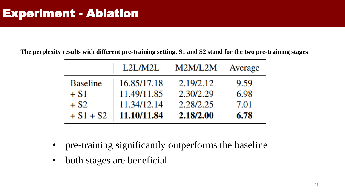**The perplexity results with different pre-training setting. S1 and S2 stand for the two pre-training stages**

|                 | L2L/M2L     | M2M/L2M   | Average |
|-----------------|-------------|-----------|---------|
| <b>Baseline</b> | 16.85/17.18 | 2.19/2.12 | 9.59    |
| $+ S1$          | 11.49/11.85 | 2.30/2.29 | 6.98    |
| $+ S2$          | 11.34/12.14 | 2.28/2.25 | 7.01    |
| $+ S1 + S2$     | 11.10/11.84 | 2.18/2.00 | 6.78    |

- pre-training significantly outperforms the baseline
- both stages are beneficial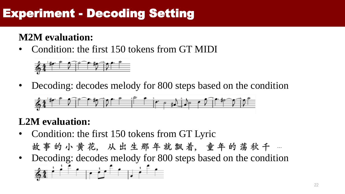# Experiment - Decoding Setting

### **M2M evaluation:**

• Condition: the first 150 tokens from GT MIDI



• Decoding: decodes melody for 800 steps based on the condition



#### **L2M evaluation:**

- Condition: the first 150 tokens from GT Lyric 故事的小黄花, 从出生那年就飘着, 童年的荡秋千 …
- Decoding: decodes melody for 800 steps based on the condition  $64 - 1$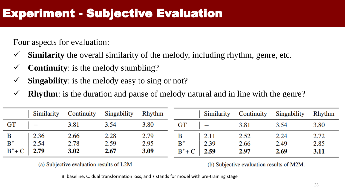Four aspects for evaluation:

- **Similarity** the overall similarity of the melody, including rhythm, genre, etc.
- **Continuity**: is the melody stumbling?
- **Singability:** is the melody easy to sing or not?
- **Rhythm**: is the duration and pause of melody natural and in line with the genre?

|                     | Similarity               | Continuity | Singability | Rhythm |                  | Similarity | Continuity | Singability | <b>Rhythm</b> |
|---------------------|--------------------------|------------|-------------|--------|------------------|------------|------------|-------------|---------------|
| $\operatorname{GT}$ | $\overline{\phantom{m}}$ | 3.81       | 3.54        | 3.80   | <b>GT</b>        |            | 3.81       | 3.54        | 3.80          |
| $\mathbf{B}$        | 2.36                     | 2.66       | 2.28        | 2.79   |                  | 2.11       | 2.52       | 2.24        | 2.72          |
| $\mathbf{B}^*$      | 2.54                     | 2.78       | 2.59        | 2.95   | $B^*$            | 2.39       | 2.66       | 2.49        | 2.85          |
|                     | $B^*$ + C   2.79         | 3.02       | 2.67        | 3.09   | $B^*$ + C   2.59 |            | 2.97       | 2.69        | 3.11          |

(a) Subjective evaluation results of L2M

(b) Subjective evaluation results of M2M.

B: baseline, C: dual transformation loss, and ∗ stands for model with pre-training stage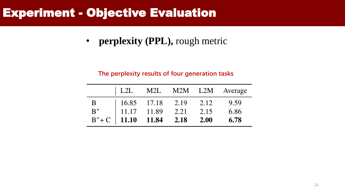• **perplexity (PPL),** rough metric

#### **The perplexity results of four generation tasks**

|  |                                                                          | L2L M2L M2M L2M Average |
|--|--------------------------------------------------------------------------|-------------------------|
|  |                                                                          |                         |
|  |                                                                          |                         |
|  | B<br>B*<br>11.17 11.89 2.21 2.15 6.86<br>B*+C 11.10 11.84 2.18 2.00 6.78 |                         |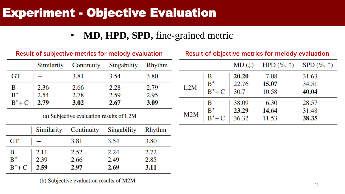### • **MD, HPD, SPD,** fine-grained metric

|                    | Similarity                 | Continuity | Singability | Rhythm |
|--------------------|----------------------------|------------|-------------|--------|
| <b>GT</b>          |                            | 3.81       | 3.54        | 3.80   |
|                    |                            | 2.66       | 2.28        | 2.79   |
|                    | $2.36$<br>$2.54$<br>$2.79$ | 2.78       | 2.59        | 2.95   |
| $B^*$<br>$B^*$ + C |                            | 3.02       | 2.67        | 3.09   |

**Result of subjective metrics for melody evaluation**

(a) Subjective evaluation results of L2M

|                                                                                          | Similarity Continuity           |      | Singability | <b>Rhythm</b> |
|------------------------------------------------------------------------------------------|---------------------------------|------|-------------|---------------|
| GT                                                                                       |                                 | 3.81 | 3.54        | 3.80          |
|                                                                                          |                                 | 2.52 | 2.24        | 2.72          |
| $\begin{array}{c}\n\mathbf{B} \\ \mathbf{B}^* \\ \mathbf{B}^* + \mathbf{C}\n\end{array}$ | $2.11$<br>$2.39$<br><b>2.59</b> | 2.66 | 2.49        | 2.85          |
|                                                                                          |                                 | 2.97 | 2.69        | 3.11          |

(b) Subjective evaluation results of M2M.

|     |           | $MD(\downarrow)$ | HPD $(\%,\uparrow)$ | SPD $(\%, \uparrow)$ |
|-----|-----------|------------------|---------------------|----------------------|
|     | В         | 20.20            | 7.08                | 31.63                |
| L2M | $B^*$     | 22.76            | 15.07               | 34.51                |
|     | $B^*$ + C | 30.7             | 10.58               | 40.04                |
|     | В         | 38.09            | 6.30                | 28.57                |
| M2M | $B^*$     | 23.29            | 14.64               | 31.48                |
|     | $B^*$ + C | 36.32            | 11.53               | 38.35                |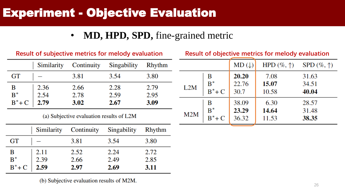### • **MD, HPD, SPD,** fine-grained metric

|                    | Similarity                 | Continuity | Singability | Rhythm |  |
|--------------------|----------------------------|------------|-------------|--------|--|
| <b>GT</b>          |                            | 3.81       | 3.54        | 3.80   |  |
|                    |                            | 2.66       | 2.28        | 2.79   |  |
|                    | $2.36$<br>$2.54$<br>$2.79$ | 2.78       | 2.59        | 2.95   |  |
| $B^*$<br>$B^*$ + C |                            | 3.02       | 2.67        | 3.09   |  |

**Result of subjective metrics for melody evaluation**

(a) Subjective evaluation results of L2M

|                                                                                          |                                 | Similarity Continuity Singability |      | <b>Rhythm</b> |
|------------------------------------------------------------------------------------------|---------------------------------|-----------------------------------|------|---------------|
| GT                                                                                       |                                 | 3.81                              | 3.54 | 3.80          |
|                                                                                          |                                 | 2.52                              | 2.24 | 2.72          |
|                                                                                          | $2.11$<br>$2.39$<br><b>2.59</b> | 2.66                              | 2.49 | 2.85          |
| $\begin{array}{c}\n\mathbf{B} \\ \mathbf{B}^* \\ \mathbf{B}^* + \mathbf{C}\n\end{array}$ |                                 | 2.97                              | 2.69 | 3.11          |

(b) Subjective evaluation results of M2M.

|     |           | $MD(\downarrow)$ | HPD $(\%, \uparrow)$ | $SPD (\%,\uparrow)$ |
|-----|-----------|------------------|----------------------|---------------------|
| L2M | B         | 20.20            | 7.08                 | 31.63               |
|     | $B^*$     | 22.76            | 15.07                | 34.51               |
|     | $B^*$ + C | 30.7             | 10.58                | 40.04               |
| M2M | В         | 38.09            | 6.30                 | 28.57               |
|     | $B^*$     | 23.29            | 14.64                | 31.48               |
|     | $B^*$ + C | 36.32            | 11.53                | 38.35               |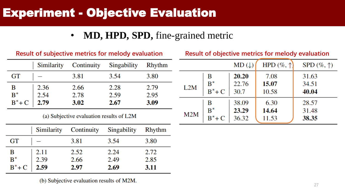### • **MD, HPD, SPD,** fine-grained metric

| <b>Result of subjective metrics for melody evaluation</b> |                  |            |             |               |
|-----------------------------------------------------------|------------------|------------|-------------|---------------|
|                                                           | Similarity       | Continuity | Singability | <b>Rhythm</b> |
| <b>GT</b>                                                 |                  | 3.81       | 3.54        | 3.80          |
| B                                                         |                  | 2.66       | 2.28        | 2.79          |
| $\overline{B}^*$                                          | $2.36$<br>$2.54$ | 2.78       | 2.59        | 2.95          |
| $B^*$ + C                                                 | 2.79             | 3.02       | 2.67        | 3.09          |

(a) Subjective evaluation results of L2M

|                                                                                          |                                 | Similarity Continuity Singability |      | <b>Rhythm</b> |
|------------------------------------------------------------------------------------------|---------------------------------|-----------------------------------|------|---------------|
| GT                                                                                       |                                 | 3.81                              | 3.54 | 3.80          |
|                                                                                          |                                 | 2.52                              | 2.24 | 2.72          |
|                                                                                          | $2.11$<br>$2.39$<br><b>2.59</b> | 2.66                              | 2.49 | 2.85          |
| $\begin{array}{c}\n\mathbf{B} \\ \mathbf{B}^* \\ \mathbf{B}^* + \mathbf{C}\n\end{array}$ |                                 | 2.97                              | 2.69 | 3.11          |

(b) Subjective evaluation results of M2M.

|     |           | $MD(\downarrow)$ | HPD $(\%,\uparrow)$ | $SPD (\%,\uparrow)$ |
|-----|-----------|------------------|---------------------|---------------------|
| L2M | В         | 20.20            | 7.08                | 31.63               |
|     | $B^*$     | 22.76            | 15.07               | 34.51               |
|     | $B^*$ + C | 30.7             | 10.58               | 40.04               |
| M2M | В         | 38.09            | 6.30                | 28.57               |
|     | $B^*$     | 23.29            | 14.64               | 31.48               |
|     | $B^*$ + C | 36.32            | 11.53               | 38.35               |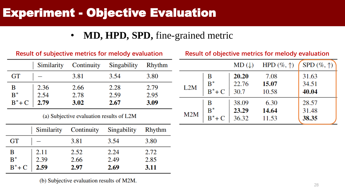### • **MD, HPD, SPD,** fine-grained metric

|                    | Similarity       | Continuity | Singability | Rhythm |
|--------------------|------------------|------------|-------------|--------|
| GT                 |                  | 3.81       | 3.54        | 3.80   |
|                    |                  | 2.66       | 2.28        | 2.79   |
| $B^*$<br>$B^*$ + C | $2.36$<br>$2.54$ | 2.78       | 2.59        | 2.95   |
|                    | 2.79             | 3.02       | 2.67        | 3.09   |

**Result of subjective metrics for melody evaluation**

(a) Subjective evaluation results of L2M

|                                                                           | Similarity Continuity |      | Singability | <b>Rhythm</b> |
|---------------------------------------------------------------------------|-----------------------|------|-------------|---------------|
| GT                                                                        |                       | 3.81 | 3.54        | 3.80          |
|                                                                           |                       | 2.52 | 2.24        | 2.72          |
|                                                                           |                       | 2.66 | 2.49        | 2.85          |
| $\begin{array}{c c} B & 2.11 \\ B^* & 2.39 \\ B^* + C & 2.59 \end{array}$ |                       | 2.97 | 2.69        | 3.11          |

(b) Subjective evaluation results of M2M.

|     |           | $MD(\downarrow)$ | HPD $(\%,\uparrow)$ | SPD $(\%,\uparrow)$ |
|-----|-----------|------------------|---------------------|---------------------|
| L2M | в         | 20.20            | 7.08                | 31.63               |
|     | $B^*$     | 22.76            | 15.07               | 34.51               |
|     | $B^*$ + C | 30.7             | 10.58               | 40.04               |
| M2M | В         | 38.09            | 6.30                | 28.57               |
|     | $B^*$     | 23.29            | 14.64               | 31.48               |
|     | $B^*$ + C | 36.32            | 11.53               | 38.35               |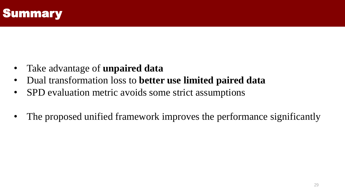

- Take advantage of **unpaired data**
- Dual transformation loss to **better use limited paired data**
- SPD evaluation metric avoids some strict assumptions
- The proposed unified framework improves the performance significantly